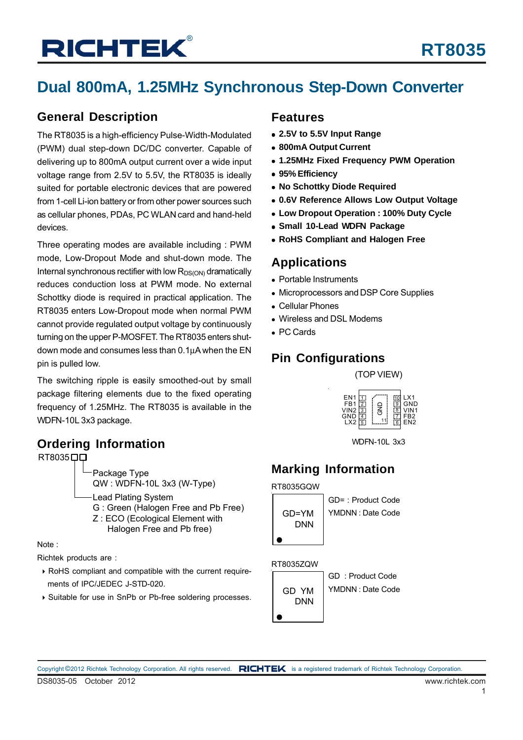# **Dual 800mA, 1.25MHz Synchronous Step-Down Converter**

### **General Description**

The RT8035 is a high-efficiency Pulse-Width-Modulated (PWM) dual step-down DC/DC converter. Capable of delivering up to 800mA output current over a wide input voltage range from 2.5V to 5.5V, the RT8035 is ideally suited for portable electronic devices that are powered from 1-cell Li-ion battery or from other power sources such as cellular phones, PDAs, PC WLAN card and hand-held devices.

Three operating modes are available including : PWM mode, Low-Dropout Mode and shut-down mode. The Internal synchronous rectifier with low  $R_{DS(ON)}$  dramatically reduces conduction loss at PWM mode. No external Schottky diode is required in practical application. The RT8035 enters Low-Dropout mode when normal PWM cannot provide regulated output voltage by continuously turning on the upper P-MOSFET. The RT8035 enters shutdown mode and consumes less than 0.1μA when the EN pin is pulled low.

The switching ripple is easily smoothed-out by small package filtering elements due to the fixed operating frequency of 1.25MHz. The RT8035 is available in the WDFN-10L 3x3 package.

### **Ordering Information**



Note :

Richtek products are :

- ` RoHS compliant and compatible with the current require ments of IPC/JEDEC J-STD-020.
- ` Suitable for use in SnPb or Pb-free soldering processes.

#### **Features**

- <sup>z</sup> **2.5V to 5.5V Input Range**
- 800mA Output Current
- <sup>z</sup> **1.25MHz Fixed Frequency PWM Operation**
- <sup>z</sup> **95% Efficiency**
- **No Schottky Diode Required**
- <sup>z</sup> **0.6V Reference Allows Low Output Voltage**
- **Low Dropout Operation : 100% Duty Cycle**
- **Small 10-Lead WDFN Package**
- **RoHS Compliant and Halogen Free**

### **Applications**

- Portable Instruments
- Microprocessors and DSP Core Supplies
- Cellular Phones
- Wireless and DSL Modems
- PC Cards

### **Pin Configurations**

(TOP VIEW)



WDFN-10L 3x3

# **Marking Information**

RT8035GQW



GD= : Product Code YMDNN : Date Code

#### RT8035ZQW



GD : Product Code YMDNN : Date Code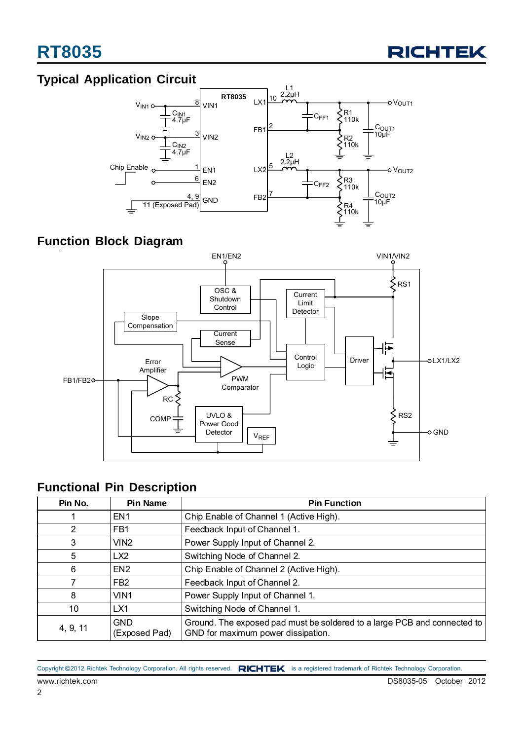

### **Typical Application Circuit**



### **Function Block Diagram**



### **Functional Pin Description**

| Pin No.        | <b>Pin Name</b>             | <b>Pin Function</b>                                                                                            |  |  |
|----------------|-----------------------------|----------------------------------------------------------------------------------------------------------------|--|--|
|                | EN <sub>1</sub>             | Chip Enable of Channel 1 (Active High).                                                                        |  |  |
| $\overline{2}$ | FB <sub>1</sub>             | Feedback Input of Channel 1.                                                                                   |  |  |
| 3              | VIN <sub>2</sub>            | Power Supply Input of Channel 2.                                                                               |  |  |
| 5              | LX <sub>2</sub>             | Switching Node of Channel 2.                                                                                   |  |  |
| 6              | EN <sub>2</sub>             | Chip Enable of Channel 2 (Active High).                                                                        |  |  |
|                | FB <sub>2</sub>             | Feedback Input of Channel 2.                                                                                   |  |  |
| 8              | VIN <sub>1</sub>            | Power Supply Input of Channel 1.                                                                               |  |  |
| 10             | LX1                         | Switching Node of Channel 1.                                                                                   |  |  |
| 4, 9, 11       | <b>GND</b><br>(Exposed Pad) | Ground. The exposed pad must be soldered to a large PCB and connected to<br>GND for maximum power dissipation. |  |  |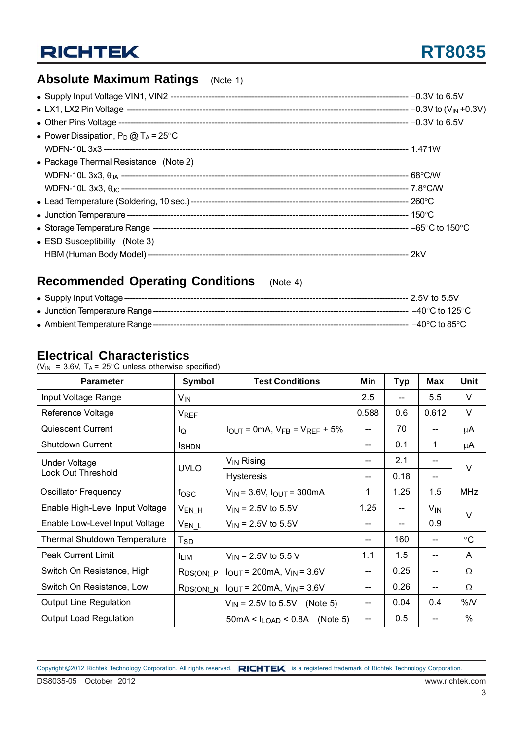# **Absolute Maximum Ratings** (Note 1)

| • Power Dissipation, $P_D @ T_A = 25^{\circ}C$ |  |
|------------------------------------------------|--|
|                                                |  |
| • Package Thermal Resistance (Note 2)          |  |
|                                                |  |
|                                                |  |
|                                                |  |
|                                                |  |
|                                                |  |
| $\bullet$ ESD Susceptibility (Note 3)          |  |
|                                                |  |
|                                                |  |

# **Recommended Operating Conditions** (Note 4)

| • Supply Input Voltage ----        | ---- 2.5V to 5.5V                   |
|------------------------------------|-------------------------------------|
| • Junction Temperature Range ----  | $-40^{\circ}$ C to 125 $^{\circ}$ C |
| • Ambient Temperature Range ------ | $-40^{\circ}$ C to 85 $^{\circ}$ C  |

#### **Electrical Characteristics**

( $V_{IN}$  = 3.6V, T<sub>A</sub> = 25°C unless otherwise specified)

| <b>Parameter</b>                | Symbol                 | <b>Test Conditions</b>                                                  | Min   | <b>Typ</b> | <b>Max</b> | <b>Unit</b>       |  |
|---------------------------------|------------------------|-------------------------------------------------------------------------|-------|------------|------------|-------------------|--|
| Input Voltage Range             | V <sub>IN</sub>        |                                                                         | 2.5   | $-$        | 5.5        | V                 |  |
| Reference Voltage               | <b>V<sub>REF</sub></b> |                                                                         | 0.588 | 0.6        | 0.612      | V                 |  |
| Quiescent Current               | lQ                     | $I_{\text{OUT}} = 0 \text{mA}$ , $V_{\text{FB}} = V_{\text{REF}} + 5\%$ |       | 70         |            | μA                |  |
| <b>Shutdown Current</b>         | <b>I</b> SHDN          |                                                                         |       | 0.1        | 1          | μA                |  |
| <b>Under Voltage</b>            |                        | $V_{IN}$ Rising                                                         | --    | 2.1        |            |                   |  |
| <b>Lock Out Threshold</b>       | <b>UVLO</b>            | <b>Hysteresis</b>                                                       |       | 0.18       |            | $\vee$            |  |
| <b>Oscillator Frequency</b>     | $f_{\rm{OSC}}$         | $V_{IN}$ = 3.6V, $I_{OUT}$ = 300mA                                      | 1     | 1.25       | 1.5        | <b>MHz</b>        |  |
| Enable High-Level Input Voltage | $V_{EN_H}$             | $V_{\text{IN}}$ = 2.5V to 5.5V                                          | 1.25  | --         | $V_{IN}$   | $\vee$            |  |
| Enable Low-Level Input Voltage  | $V_{EN\_L}$            | $V_{\text{IN}}$ = 2.5V to 5.5V                                          |       | $-$        | 0.9        |                   |  |
| Thermal Shutdown Temperature    | $T_{\mathsf{SD}}$      |                                                                         |       | 160        |            | $^\circ \text{C}$ |  |
| <b>Peak Current Limit</b>       | <b>LIM</b>             | $V_{\text{IN}}$ = 2.5V to 5.5 V                                         | 1.1   | 1.5        |            | A                 |  |
| Switch On Resistance, High      | RDS(ON) P              | $I_{OUT}$ = 200mA, $V_{IN}$ = 3.6V                                      | --    | 0.25       | --         | $\Omega$          |  |
| Switch On Resistance, Low       | $RDS(ON)$ $N$          | $I_{OUT} = 200mA$ , $V_{IN} = 3.6V$                                     |       | 0.26       |            | $\Omega$          |  |
| <b>Output Line Regulation</b>   |                        | $V_{IN}$ = 2.5V to 5.5V (Note 5)                                        |       | 0.04       | 0.4        | %N                |  |
| <b>Output Load Regulation</b>   |                        | $50mA < I_{LOAD} < 0.8A$ (Note 5)                                       | --    | 0.5        |            | $\%$              |  |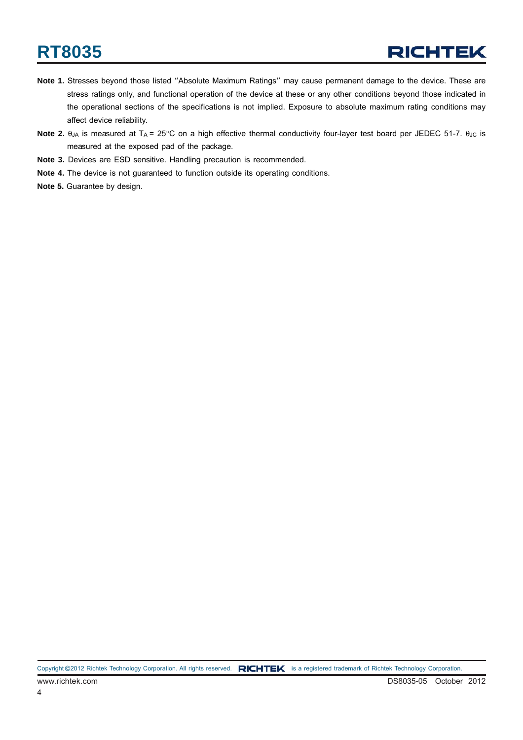# **RT8035**

- **Note 1.** Stresses beyond those listed "Absolute Maximum Ratings" may cause permanent damage to the device. These are stress ratings only, and functional operation of the device at these or any other conditions beyond those indicated in the operational sections of the specifications is not implied. Exposure to absolute maximum rating conditions may affect device reliability.
- **Note 2.** θ<sub>JA</sub> is measured at T<sub>A</sub> = 25°C on a high effective thermal conductivity four-layer test board per JEDEC 51-7. θ<sub>JC</sub> is measured at the exposed pad of the package.
- **Note 3.** Devices are ESD sensitive. Handling precaution is recommended.
- **Note 4.** The device is not guaranteed to function outside its operating conditions.
- **Note 5.** Guarantee by design.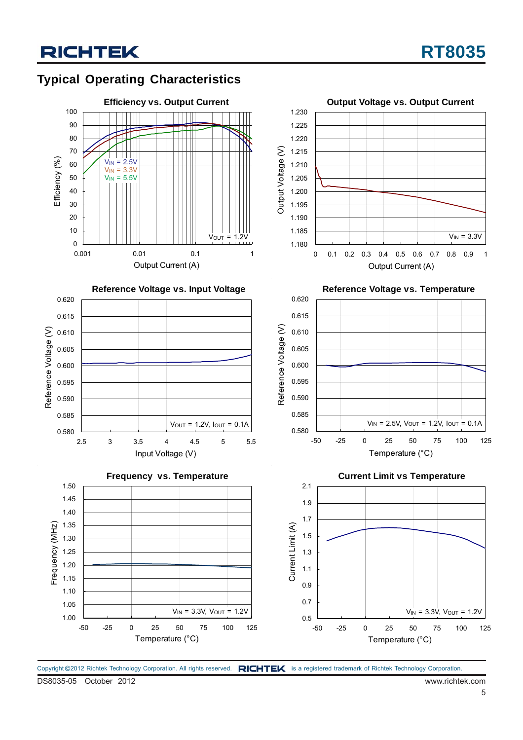# **Typical Operating Characteristics**



Copyright ©2012 Richtek Technology Corporation. All rights reserved. RICHTEK is a registered trademark of Richtek Technology Corporation.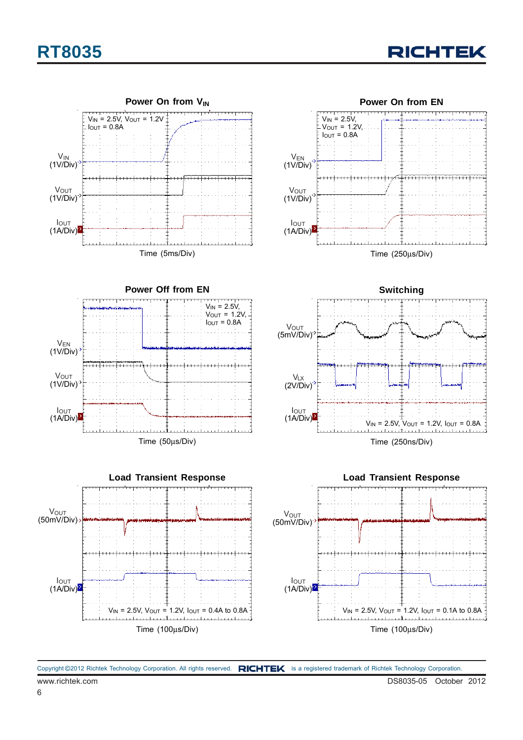# **RT8035**





Copyright ©2012 Richtek Technology Corporation. All rights reserved. RICHTEK is a registered trademark of Richtek Technology Corporation.

6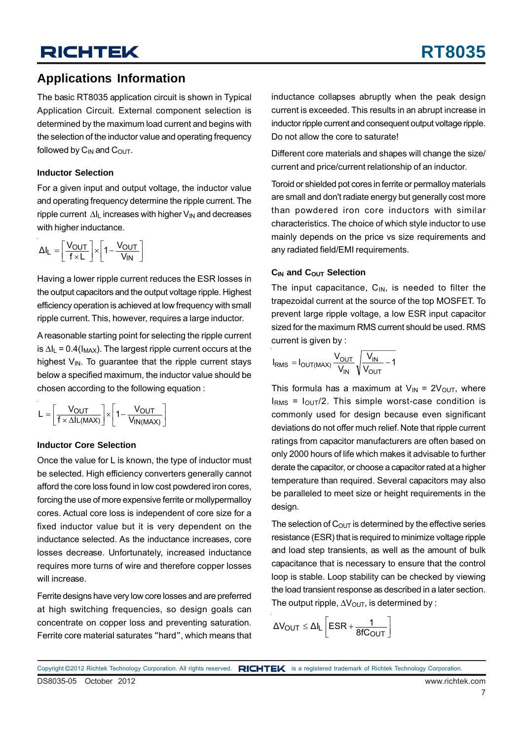#### **Applications Information**

The basic RT8035 application circuit is shown in Typical Application Circuit. External component selection is determined by the maximum load current and begins with the selection of the inductor value and operating frequency followed by  $C_{IN}$  and  $C_{OUT}$ .

#### **Inductor Selection**

For a given input and output voltage, the inductor value and operating frequency determine the ripple current. The ripple current  $\Delta I_1$  increases with higher  $V_{1N}$  and decreases with higher inductance.

$$
\Delta I_L = \left[\frac{V_{OUT}}{f \times L}\right] \times \left[1 - \frac{V_{OUT}}{V_{IN}}\right]
$$

Having a lower ripple current reduces the ESR losses in the output capacitors and the output voltage ripple. Highest efficiency operation is achieved at low frequency with small ripple current. This, however, requires a large inductor.

A reasonable starting point for selecting the ripple current is  $\Delta I_L$  = 0.4( $I_{MAX}$ ). The largest ripple current occurs at the highest  $V_{IN}$ . To guarantee that the ripple current stays below a specified maximum, the inductor value should be chosen according to the following equation :

$$
L = \left[\frac{V_{OUT}}{f \times \Delta I L(MAX)}\right] \times \left[1 - \frac{V_{OUT}}{V_{IN(MAX)}}\right]
$$

#### **Inductor Core Selection**

Once the value for L is known, the type of inductor must be selected. High efficiency converters generally cannot afford the core loss found in low cost powdered iron cores, forcing the use of more expensive ferrite or mollypermalloy cores. Actual core loss is independent of core size for a fixed inductor value but it is very dependent on the inductance selected. As the inductance increases, core losses decrease. Unfortunately, increased inductance requires more turns of wire and therefore copper losses will increase.

Ferrite designs have very low core losses and are preferred at high switching frequencies, so design goals can concentrate on copper loss and preventing saturation. Ferrite core material saturates "hard", which means that

inductance collapses abruptly when the peak design current is exceeded. This results in an abrupt increase in inductor ripple current and consequent output voltage ripple. Do not allow the core to saturate!

Different core materials and shapes will change the size/ current and price/current relationship of an inductor.

Toroid or shielded pot cores in ferrite or permalloy materials are small and don't radiate energy but generally cost more than powdered iron core inductors with similar characteristics. The choice of which style inductor to use mainly depends on the price vs size requirements and any radiated field/EMI requirements.

#### **C<sub>IN</sub>** and C<sub>OUT</sub> Selection

The input capacitance,  $C_{IN}$ , is needed to filter the trapezoidal current at the source of the top MOSFET. To prevent large ripple voltage, a low ESR input capacitor sized for the maximum RMS current should be used. RMS current is given by :

$$
I_{RMS} = I_{OUT(MAX)} \frac{V_{OUT}}{V_{IN}} \sqrt{\frac{V_{IN}}{V_{OUT}} - 1}
$$

This formula has a maximum at  $V_{IN} = 2V_{OUT}$ , where  $I<sub>RMS</sub> = I<sub>OUT</sub>/2$ . This simple worst-case condition is commonly used for design because even significant deviations do not offer much relief. Note that ripple current ratings from capacitor manufacturers are often based on only 2000 hours of life which makes it advisable to further derate the capacitor, or choose a capacitor rated at a higher temperature than required. Several capacitors may also be paralleled to meet size or height requirements in the design.

The selection of  $C_{\text{OUT}}$  is determined by the effective series resistance (ESR) that is required to minimize voltage ripple and load step transients, as well as the amount of bulk capacitance that is necessary to ensure that the control loop is stable. Loop stability can be checked by viewing the load transient response as described in a later section. The output ripple,  $\Delta V_{\text{OUT}}$ , is determined by :

$$
\Delta V_{OUT} \leq \Delta I_L \left[ ESR + \frac{1}{8fC_{OUT}} \right]
$$

DS8035-05 October 2012 www.richtek.com Copyright ©2012 Richtek Technology Corporation. All rights reserved. RICHTEK is a registered trademark of Richtek Technology Corporation.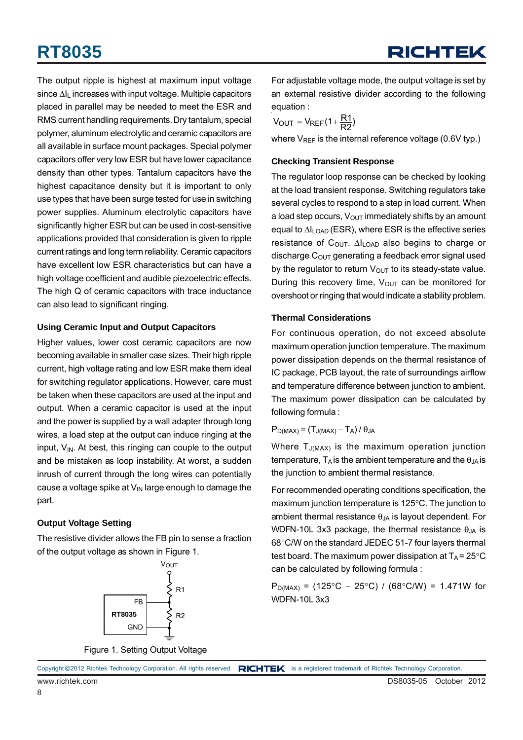# **RT8035**

The output ripple is highest at maximum input voltage since  $\Delta I_L$  increases with input voltage. Multiple capacitors placed in parallel may be needed to meet the ESR and RMS current handling requirements. Dry tantalum, special polymer, aluminum electrolytic and ceramic capacitors are all available in surface mount packages. Special polymer capacitors offer very low ESR but have lower capacitance density than other types. Tantalum capacitors have the highest capacitance density but it is important to only use types that have been surge tested for use in switching power supplies. Aluminum electrolytic capacitors have significantly higher ESR but can be used in cost-sensitive applications provided that consideration is given to ripple current ratings and long term reliability. Ceramic capacitors have excellent low ESR characteristics but can have a high voltage coefficient and audible piezoelectric effects. The high Q of ceramic capacitors with trace inductance can also lead to significant ringing.

#### **Using Ceramic Input and Output Capacitors**

Higher values, lower cost ceramic capacitors are now becoming available in smaller case sizes. Their high ripple current, high voltage rating and low ESR make them ideal for switching regulator applications. However, care must be taken when these capacitors are used at the input and output. When a ceramic capacitor is used at the input and the power is supplied by a wall adapter through long wires, a load step at the output can induce ringing at the input,  $V_{\text{IN}}$ . At best, this ringing can couple to the output and be mistaken as loop instability. At worst, a sudden inrush of current through the long wires can potentially cause a voltage spike at  $V_{\text{IN}}$  large enough to damage the part.

#### **Output Voltage Setting**

The resistive divider allows the FB pin to sense a fraction of the output voltage as shown in Figure 1.



For adjustable voltage mode, the output voltage is set by an external resistive divider according to the following equation :

 $V_{\text{OUT}} = V_{\text{REF}}(1 + \frac{R1}{R2})$ 

where  $V_{REF}$  is the internal reference voltage (0.6V typ.)

#### **Checking Transient Response**

The regulator loop response can be checked by looking at the load transient response. Switching regulators take several cycles to respond to a step in load current. When a load step occurs,  $V_{\text{OUT}}$  immediately shifts by an amount equal to  $\Delta I_{\text{LOAD}}$  (ESR), where ESR is the effective series resistance of  $C_{\text{OUT}}$ .  $\Delta I_{\text{LOAD}}$  also begins to charge or discharge  $C_{\text{OUT}}$  generating a feedback error signal used by the regulator to return  $V_{\text{OUT}}$  to its steady-state value. During this recovery time,  $V_{OUT}$  can be monitored for overshoot or ringing that would indicate a stability problem.

#### **Thermal Considerations**

For continuous operation, do not exceed absolute maximum operation junction temperature. The maximum power dissipation depends on the thermal resistance of IC package, PCB layout, the rate of surroundings airflow and temperature difference between junction to ambient. The maximum power dissipation can be calculated by following formula :

#### $P_{D(MAX)} = (T_{J(MAX)} - T_A)/\theta_{JA}$

Where  $T_{J(MAX)}$  is the maximum operation junction temperature,  $T_A$  is the ambient temperature and the  $\theta_{JA}$  is the junction to ambient thermal resistance.

For recommended operating conditions specification, the maximum junction temperature is 125°C. The junction to ambient thermal resistance  $\theta_{JA}$  is layout dependent. For WDFN-10L 3x3 package, the thermal resistance  $\theta_{JA}$  is 68°C/W on the standard JEDEC 51-7 four layers thermal test board. The maximum power dissipation at  $T_A = 25^{\circ}C$ can be calculated by following formula :

P<sub>D(MAX)</sub> = (125°C – 25°C) / (68°C/W) = 1.471W for WDFN-10L 3x3

Figure 1. Setting Output Voltage

Copyright ©2012 Richtek Technology Corporation. All rights reserved. RICHTEK is a registered trademark of Richtek Technology Corporation.

8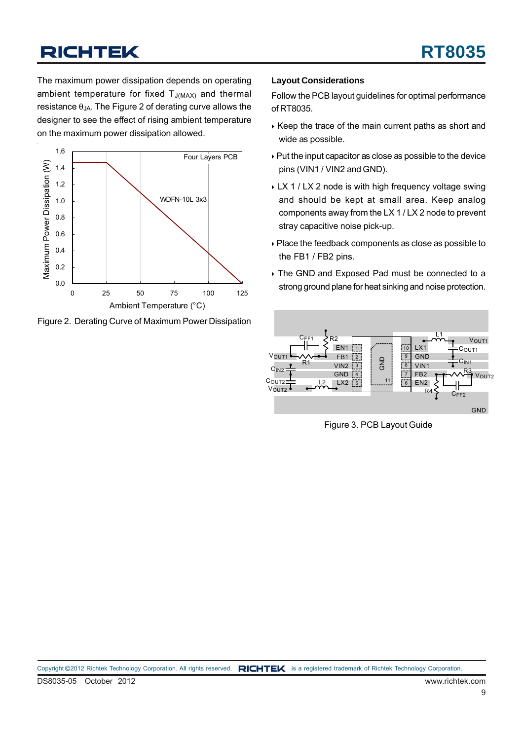The maximum power dissipation depends on operating ambient temperature for fixed  $T_{J(MAX)}$  and thermal resistance  $\theta_{JA}$ . The Figure 2 of derating curve allows the designer to see the effect of rising ambient temperature on the maximum power dissipation allowed.



Figure 2. Derating Curve of Maximum Power Dissipation

#### **Layout Considerations**

Follow the PCB layout guidelines for optimal performance of RT8035.

- $\rightarrow$  Keep the trace of the main current paths as short and wide as possible.
- ` Put the input capacitor as close as possible to the device pins (VIN1 / VIN2 and GND).
- ▶ LX 1 / LX 2 node is with high frequency voltage swing and should be kept at small area. Keep analog components away from the LX 1 / LX 2 node to prevent stray capacitive noise pick-up.
- ` Place the feedback components as close as possible to the FB1 / FB2 pins.
- $\rightarrow$  The GND and Exposed Pad must be connected to a strong ground plane for heat sinking and noise protection.



Figure 3. PCB Layout Guide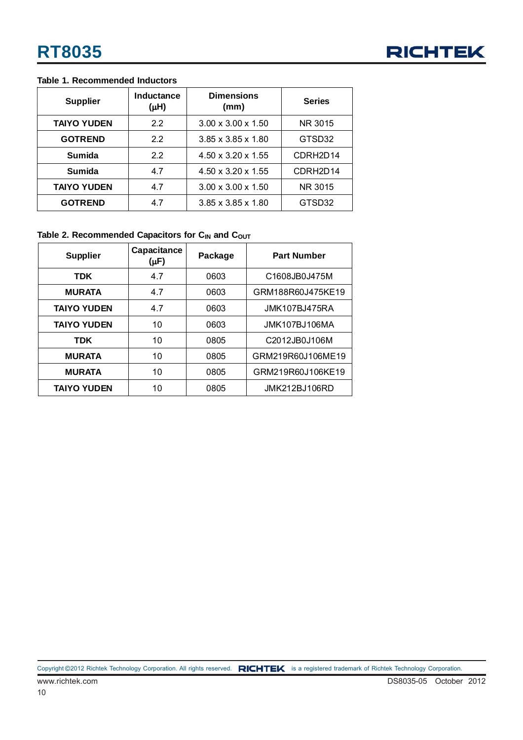#### **Table 1. Recommended Inductors**

| <b>Supplier</b>    | <b>Inductance</b><br>$(\mu H)$ | <b>Dimensions</b><br>(mm)      | <b>Series</b>         |  |
|--------------------|--------------------------------|--------------------------------|-----------------------|--|
| <b>TAIYO YUDEN</b> | 2.2                            | $3.00 \times 3.00 \times 1.50$ | NR 3015               |  |
| <b>GOTREND</b>     | 2.2                            | $3.85 \times 3.85 \times 1.80$ | GTSD32                |  |
| <b>Sumida</b>      | 2.2                            | $4.50 \times 3.20 \times 1.55$ | CDRH <sub>2D</sub> 14 |  |
| <b>Sumida</b>      | 4.7                            | $4.50 \times 3.20 \times 1.55$ | CDRH <sub>2D</sub> 14 |  |
| <b>TAIYO YUDEN</b> | 4.7                            | $3.00 \times 3.00 \times 1.50$ | NR 3015               |  |
| <b>GOTREND</b>     | 47                             | $3.85 \times 3.85 \times 1.80$ | GTSD32                |  |

#### Table 2. Recommended Capacitors for C<sub>IN</sub> and C<sub>OUT</sub>

| <b>Supplier</b>    | Capacitance<br>$(\mu F)$ | Package | <b>Part Number</b>   |
|--------------------|--------------------------|---------|----------------------|
| <b>TDK</b>         | 4.7                      | 0603    | C1608JB0J475M        |
| <b>MURATA</b>      | 4.7                      | 0603    | GRM188R60J475KE19    |
| <b>TAIYO YUDEN</b> | 4.7                      | 0603    | <b>JMK107BJ475RA</b> |
| <b>TAIYO YUDEN</b> | 10                       | 0603    | <b>JMK107BJ106MA</b> |
| <b>TDK</b>         | 10                       | 0805    | C2012JB0J106M        |
| <b>MURATA</b>      | 10                       | 0805    | GRM219R60J106ME19    |
| <b>MURATA</b>      | 10                       | 0805    | GRM219R60J106KE19    |
| <b>TAIYO YUDEN</b> | 10                       | 0805    | <b>JMK212BJ106RD</b> |